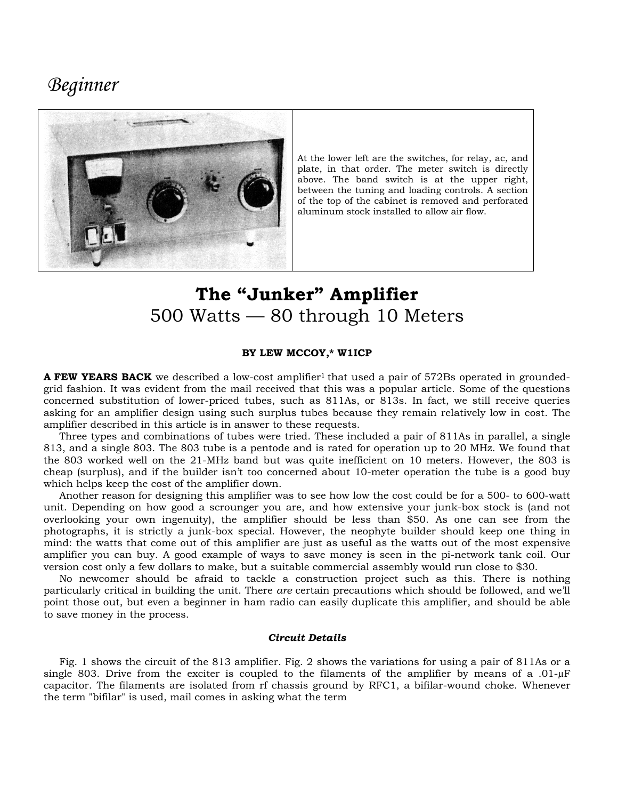## **Beginner**



At the lower left are the switches, for relay, ac, and plate, in that order. The meter switch is directly above. The band switch is at the upper right, between the tuning and loading controls. A section of the top of the cabinet is removed and perforated aluminum stock installed to allow air flow.

# The "Junker" Amplifier 500 Watts - 80 through 10 Meters

#### BY LEW MCCOY,\* W1ICP

**A FEW YEARS BACK** we described a low-cost amplifier<sup>1</sup> that used a pair of 572Bs operated in groundedgrid fashion. It was evident from the mail received that this was a popular article. Some of the questions concerned substitution of lower-priced tubes, such as 811As, or 813s. In fact, we still receive queries asking for an amplifier design using such surplus tubes because they remain relatively low in cost. The amplifier described in this article is in answer to these requests.

Three types and combinations of tubes were tried. These included a pair of 811As in parallel, a single 813, and a single 803. The 803 tube is a pentode and is rated for operation up to 20 MHz. We found that the 803 worked well on the 21-MHz band but was quite inefficient on 10 meters. However, the 803 is cheap (surplus), and if the builder isn't too concerned about 10-meter operation the tube is a good buy which helps keep the cost of the amplifier down.

Another reason for designing this amplifier was to see how low the cost could be for a 500- to 600-watt unit. Depending on how good a scrounger you are, and how extensive your junk-box stock is (and not overlooking your own ingenuity), the amplifier should be less than \$50. As one can see from the photographs, it is strictly a junk-box special. However, the neophyte builder should keep one thing in mind: the watts that come out of this amplifier are just as useful as the watts out of the most expensive amplifier you can buy. A good example of ways to save money is seen in the pi-network tank coil. Our version cost only a few dollars to make, but a suitable commercial assembly would run close to \$30.

No newcomer should be afraid to tackle a construction project such as this. There is nothing particularly critical in building the unit. There are certain precautions which should be followed, and we'll point those out, but even a beginner in ham radio can easily duplicate this amplifier, and should be able to save money in the process.

### **Circuit Details**

Fig. 1 shows the circuit of the 813 amplifier. Fig. 2 shows the variations for using a pair of 811As or a single 803. Drive from the exciter is coupled to the filaments of the amplifier by means of a .01- $\mu$ F capacitor. The filaments are isolated from rf chassis ground by RFC1, a bifilar-wound choke. Whenever the term "bifilar" is used, mail comes in asking what the term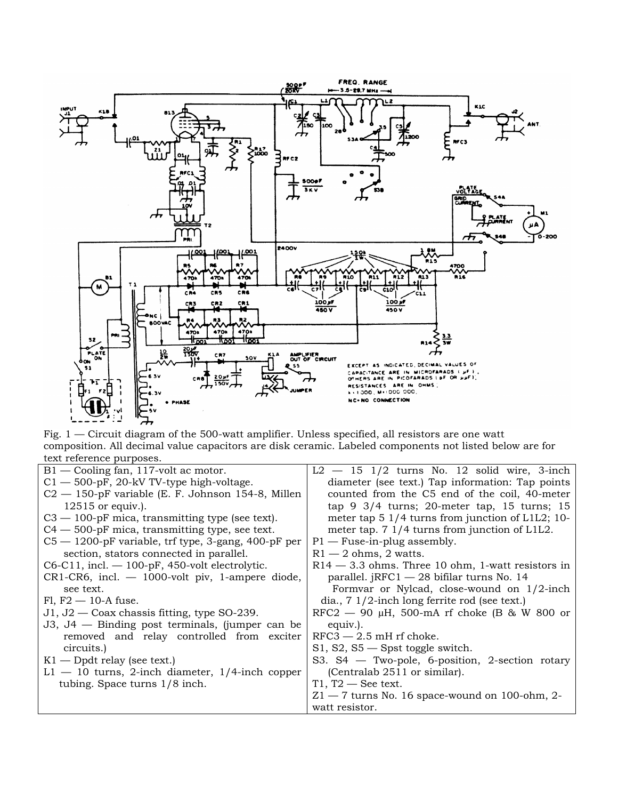

Fig.  $1$  — Circuit diagram of the 500-watt amplifier. Unless specified, all resistors are one watt composition. All decimal value capacitors are disk ceramic. Labeled components not listed below are for text reference purposes.

| $B1 -$ Cooling fan, 117-volt ac motor.                 | $L2 - 15$ 1/2 turns No. 12 solid wire, 3-inch              |
|--------------------------------------------------------|------------------------------------------------------------|
| $C1 - 500$ -pF, 20-kV TV-type high-voltage.            | diameter (see text.) Tap information: Tap points           |
| $C2 - 150$ -pF variable (E. F. Johnson 154-8, Millen   | counted from the C5 end of the coil, 40-meter              |
| $12515$ or equiv.).                                    | tap $9 \frac{3}{4}$ turns; 20-meter tap, 15 turns; 15      |
| $C3 - 100$ -pF mica, transmitting type (see text).     | meter tap $5 \frac{1}{4}$ turns from junction of L1L2; 10- |
| $C4 - 500$ -pF mica, transmitting type, see text.      | meter tap. 7 1/4 turns from junction of L1L2.              |
| $C5 - 1200$ -pF variable, trf type, 3-gang, 400-pF per | $P1$ – Fuse-in-plug assembly.                              |
| section, stators connected in parallel.                | $R1 - 2$ ohms, 2 watts.                                    |
| $C6-C11$ , incl. $-100$ -pF, 450-volt electrolytic.    | $R14 - 3.3$ ohms. Three 10 ohm, 1-watt resistors in        |
| $CR1-CR6$ , incl. $-$ 1000-volt piv, 1-ampere diode,   | parallel. $jRFC1 - 28$ bifilar turns No. 14                |
| see text.                                              | Formvar or Nylcad, close-wound on $1/2$ -inch              |
| $F1, F2 \rightarrow 10-A$ fuse.                        | dia., $7 \frac{1}{2}$ -inch long ferrite rod (see text.)   |
| $J1, J2$ - Coax chassis fitting, type SO-239.          | RFC2 $-$ 90 µH, 500-mA rf choke (B & W 800 or              |
| $J3, J4$ — Binding post terminals, (jumper can be      | equiv.).                                                   |
| removed and relay controlled from exciter              | $RFC3 - 2.5$ mH rf choke.                                  |
| circuits.)                                             | $S1, S2, S5$ - Spst toggle switch.                         |
| $K1$ — Dpdt relay (see text.)                          | S3. $S4 - Two-pole$ , 6-position, 2-section rotary         |
| $L1 - 10$ turns, 2-inch diameter, 1/4-inch copper      | (Centralab 2511 or similar).                               |
| tubing. Space turns $1/8$ inch.                        | $T1, T2$ — See text.                                       |
|                                                        | $Z1 - 7$ turns No. 16 space-wound on 100-ohm, 2-           |
|                                                        | watt resistor                                              |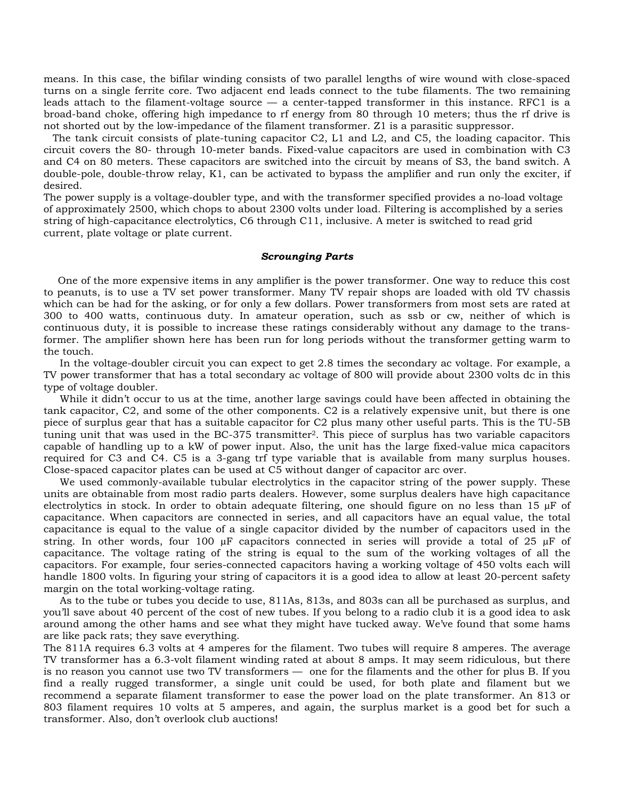means. In this case, the bifilar winding consists of two parallel lengths of wire wound with close-spaced turns on a single ferrite core. Two adiacent end leads connect to the tube filaments. The two remaining leads attach to the filament-voltage source  $-$  a center-tapped transformer in this instance. RFC1 is a broad-band choke, offering high impedance to rf energy from 80 through 10 meters; thus the rf drive is not shorted out by the low-impedance of the filament transformer. Z1 is a parasitic suppressor.

The tank circuit consists of plate-tuning capacitor C2, L1 and L2, and C5, the loading capacitor. This circuit covers the 80- through 10-meter bands. Fixed-value capacitors are used in combination with C3 and C4 on 80 meters. These capacitors are switched into the circuit by means of S3, the band switch. A double-pole, double-throw relay, K1, can be activated to bypass the amplifier and run only the exciter, if desired.

The power supply is a voltage-doubler type, and with the transformer specified provides a no-load voltage of approximately 2500, which chops to about 2300 volts under load. Filtering is accomplished by a series string of high-capacitance electrolytics, C6 through C11, inclusive. A meter is switched to read grid current, plate voltage or plate current.

## **Scrounging Parts**

One of the more expensive items in any amplifier is the power transformer. One way to reduce this cost to peanuts, is to use a TV set power transformer. Many TV repair shops are loaded with old TV chassis which can be had for the asking, or for only a few dollars. Power transformers from most sets are rated at 300 to 400 watts, continuous duty. In amateur operation, such as ssb or cw, neither of which is continuous duty, it is possible to increase these ratings considerably without any damage to the transformer. The amplifier shown here has been run for long periods without the transformer getting warm to the touch.

In the voltage-doubler circuit you can expect to get 2.8 times the secondary ac voltage. For example, a TV power transformer that has a total secondary ac voltage of 800 will provide about 2300 volts dc in this type of voltage doubler.

While it didn't occur to us at the time, another large savings could have been affected in obtaining the tank capacitor, C2, and some of the other components. C2 is a relatively expensive unit, but there is one piece of surplus gear that has a suitable capacitor for C2 plus many other useful parts. This is the TU-5B tuning unit that was used in the BC-375 transmitter<sup>2</sup>. This piece of surplus has two variable capacitors capable of handling up to a kW of power input. Also, the unit has the large fixed-value mica capacitors required for C3 and C4. C5 is a 3-gang trf type variable that is available from many surplus houses. Close-spaced capacitor plates can be used at C5 without danger of capacitor arc over.

We used commonly-available tubular electrolytics in the capacitor string of the power supply. These units are obtainable from most radio parts dealers. However, some surplus dealers have high capacitance electrolytics in stock. In order to obtain adequate filtering, one should figure on no less than 15 µF of capacitance. When capacitors are connected in series, and all capacitors have an equal value, the total capacitance is equal to the value of a single capacitor divided by the number of capacitors used in the string. In other words, four 100  $\mu$ F capacitors connected in series will provide a total of 25  $\mu$ F of capacitance. The voltage rating of the string is equal to the sum of the working voltages of all the capacitors. For example, four series-connected capacitors having a working voltage of 450 volts each will handle 1800 volts. In figuring your string of capacitors it is a good idea to allow at least 20-percent safety margin on the total working-voltage rating.

As to the tube or tubes you decide to use, 811As, 813s, and 803s can all be purchased as surplus, and you'll save about 40 percent of the cost of new tubes. If you belong to a radio club it is a good idea to ask around among the other hams and see what they might have tucked away. We've found that some hams are like pack rats; they save everything.

The 811A requires 6.3 volts at 4 amperes for the filament. Two tubes will require 8 amperes. The average TV transformer has a 6.3-volt filament winding rated at about 8 amps. It may seem ridiculous, but there is no reason you cannot use two TV transformers - one for the filaments and the other for plus B. If you find a really rugged transformer, a single unit could be used, for both plate and filament but we recommend a separate filament transformer to ease the power load on the plate transformer. An 813 or 803 filament requires 10 volts at 5 amperes, and again, the surplus market is a good bet for such a transformer. Also, don't overlook club auctions!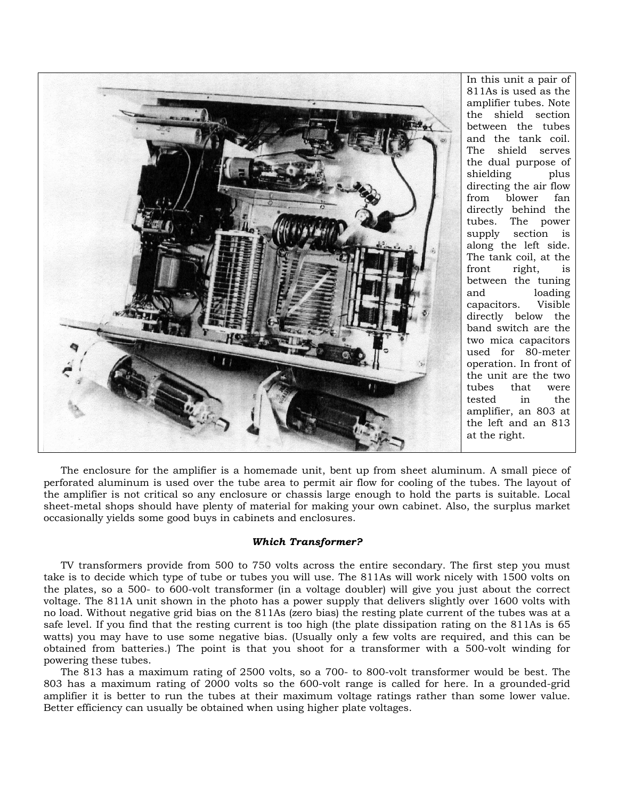

In this unit a pair of 811As is used as the amplifier tubes. Note the shield section between the tubes and the tank coil. shield serves The the dual purpose of shielding plus directing the air flow from blower fan directly behind the tubes. The power supply section is along the left side. The tank coil, at the front right, is between the tuning loading and Visible capacitors. directly below the band switch are the two mica capacitors used for 80-meter operation. In front of the unit are the two tubes that were tested in the amplifier, an 803 at the left and an 813 at the right.

The enclosure for the amplifier is a homemade unit, bent up from sheet aluminum. A small piece of perforated aluminum is used over the tube area to permit air flow for cooling of the tubes. The layout of the amplifier is not critical so any enclosure or chassis large enough to hold the parts is suitable. Local sheet-metal shops should have plenty of material for making your own cabinet. Also, the surplus market occasionally vields some good buys in cabinets and enclosures.

#### **Which Transformer?**

TV transformers provide from 500 to 750 volts across the entire secondary. The first step you must take is to decide which type of tube or tubes you will use. The 811As will work nicely with 1500 volts on the plates, so a 500- to 600-volt transformer (in a voltage doubler) will give you just about the correct voltage. The 811A unit shown in the photo has a power supply that delivers slightly over 1600 volts with no load. Without negative grid bias on the 811As (zero bias) the resting plate current of the tubes was at a safe level. If you find that the resting current is too high (the plate dissipation rating on the 811As is 65 watts) you may have to use some negative bias. (Usually only a few volts are required, and this can be obtained from batteries.) The point is that you shoot for a transformer with a 500-volt winding for powering these tubes.

The 813 has a maximum rating of 2500 volts, so a 700- to 800-volt transformer would be best. The 803 has a maximum rating of 2000 volts so the 600-volt range is called for here. In a grounded-grid amplifier it is better to run the tubes at their maximum voltage ratings rather than some lower value. Better efficiency can usually be obtained when using higher plate voltages.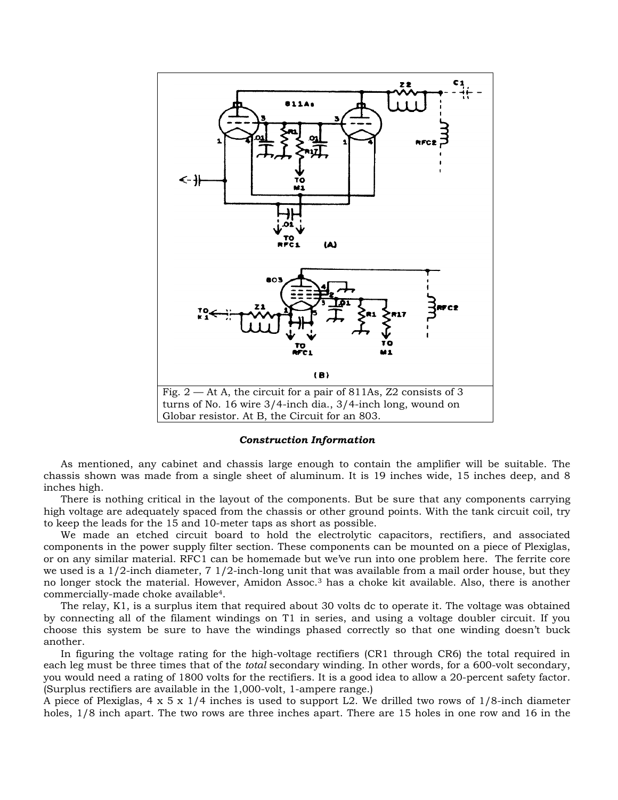

#### **Construction Information**

As mentioned, any cabinet and chassis large enough to contain the amplifier will be suitable. The chassis shown was made from a single sheet of aluminum. It is 19 inches wide, 15 inches deep, and 8 inches high.

There is nothing critical in the layout of the components. But be sure that any components carrying high voltage are adequately spaced from the chassis or other ground points. With the tank circuit coil, try to keep the leads for the 15 and 10-meter taps as short as possible.

We made an etched circuit board to hold the electrolytic capacitors, rectifiers, and associated components in the power supply filter section. These components can be mounted on a piece of Plexiglas, or on any similar material. RFC1 can be homemade but we've run into one problem here. The ferrite core we used is a  $1/2$ -inch diameter,  $7/2$ -inch-long unit that was available from a mail order house, but they no longer stock the material. However, Amidon Assoc.<sup>3</sup> has a choke kit available. Also, there is another commercially-made choke available<sup>4</sup>.

The relay, K1, is a surplus item that required about 30 volts dc to operate it. The voltage was obtained by connecting all of the filament windings on T1 in series, and using a voltage doubler circuit. If you choose this system be sure to have the windings phased correctly so that one winding doesn't buck another.

In figuring the voltage rating for the high-voltage rectifiers (CR1 through CR6) the total required in each leg must be three times that of the total secondary winding. In other words, for a 600-volt secondary, you would need a rating of 1800 volts for the rectifiers. It is a good idea to allow a 20-percent safety factor. (Surplus rectifiers are available in the 1,000-volt, 1-ampere range.)

A piece of Plexiglas,  $4 \times 5 \times 1/4$  inches is used to support L2. We drilled two rows of  $1/8$ -inch diameter holes, 1/8 inch apart. The two rows are three inches apart. There are 15 holes in one row and 16 in the